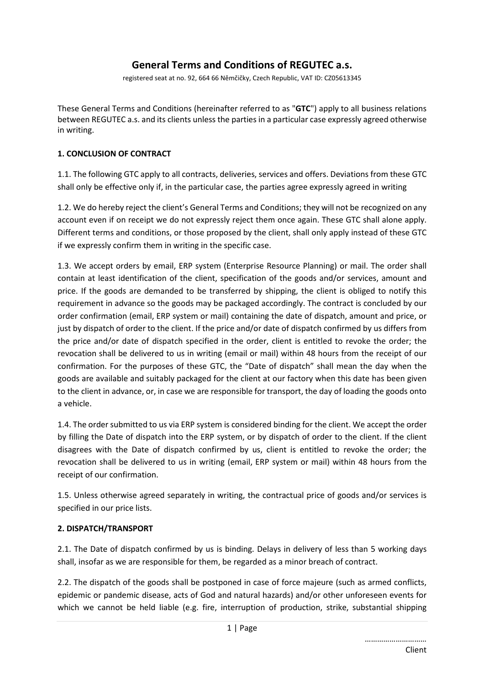# **General Terms and Conditions of REGUTEC a.s.**

registered seat at no. 92, 664 66 Němčičky, Czech Republic, VAT ID: CZ05613345

These General Terms and Conditions (hereinafter referred to as "**GTC**") apply to all business relations between REGUTEC a.s. and its clients unless the parties in a particular case expressly agreed otherwise in writing.

## **1. CONCLUSION OF CONTRACT**

1.1. The following GTC apply to all contracts, deliveries, services and offers. Deviations from these GTC shall only be effective only if, in the particular case, the parties agree expressly agreed in writing

1.2. We do hereby reject the client's General Terms and Conditions; they will not be recognized on any account even if on receipt we do not expressly reject them once again. These GTC shall alone apply. Different terms and conditions, or those proposed by the client, shall only apply instead of these GTC if we expressly confirm them in writing in the specific case.

1.3. We accept orders by email, ERP system (Enterprise Resource Planning) or mail. The order shall contain at least identification of the client, specification of the goods and/or services, amount and price. If the goods are demanded to be transferred by shipping, the client is obliged to notify this requirement in advance so the goods may be packaged accordingly. The contract is concluded by our order confirmation (email, ERP system or mail) containing the date of dispatch, amount and price, or just by dispatch of order to the client. If the price and/or date of dispatch confirmed by us differs from the price and/or date of dispatch specified in the order, client is entitled to revoke the order; the revocation shall be delivered to us in writing (email or mail) within 48 hours from the receipt of our confirmation. For the purposes of these GTC, the "Date of dispatch" shall mean the day when the goods are available and suitably packaged for the client at our factory when this date has been given to the client in advance, or, in case we are responsible for transport, the day of loading the goods onto a vehicle.

1.4. The order submitted to us via ERP system is considered binding for the client. We accept the order by filling the Date of dispatch into the ERP system, or by dispatch of order to the client. If the client disagrees with the Date of dispatch confirmed by us, client is entitled to revoke the order; the revocation shall be delivered to us in writing (email, ERP system or mail) within 48 hours from the receipt of our confirmation.

1.5. Unless otherwise agreed separately in writing, the contractual price of goods and/or services is specified in our price lists.

### **2. DISPATCH/TRANSPORT**

2.1. The Date of dispatch confirmed by us is binding. Delays in delivery of less than 5 working days shall, insofar as we are responsible for them, be regarded as a minor breach of contract.

2.2. The dispatch of the goods shall be postponed in case of force majeure (such as armed conflicts, epidemic or pandemic disease, acts of God and natural hazards) and/or other unforeseen events for which we cannot be held liable (e.g. fire, interruption of production, strike, substantial shipping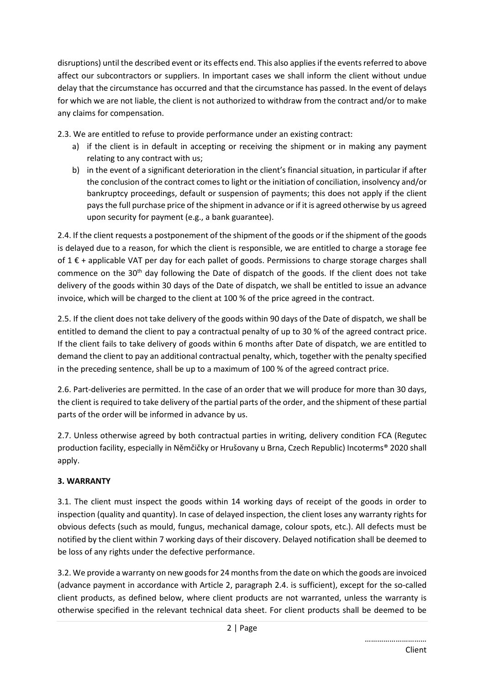disruptions) until the described event or its effects end. This also applies if the events referred to above affect our subcontractors or suppliers. In important cases we shall inform the client without undue delay that the circumstance has occurred and that the circumstance has passed. In the event of delays for which we are not liable, the client is not authorized to withdraw from the contract and/or to make any claims for compensation.

2.3. We are entitled to refuse to provide performance under an existing contract:

- a) if the client is in default in accepting or receiving the shipment or in making any payment relating to any contract with us;
- b) in the event of a significant deterioration in the client's financial situation, in particular if after the conclusion of the contract comes to light or the initiation of conciliation, insolvency and/or bankruptcy proceedings, default or suspension of payments; this does not apply if the client pays the full purchase price of the shipment in advance or if it is agreed otherwise by us agreed upon security for payment (e.g., a bank guarantee).

2.4. If the client requests a postponement of the shipment of the goods or if the shipment of the goods is delayed due to a reason, for which the client is responsible, we are entitled to charge a storage fee of 1 € + applicable VAT per day for each pallet of goods. Permissions to charge storage charges shall commence on the  $30<sup>th</sup>$  day following the Date of dispatch of the goods. If the client does not take delivery of the goods within 30 days of the Date of dispatch, we shall be entitled to issue an advance invoice, which will be charged to the client at 100 % of the price agreed in the contract.

2.5. If the client does not take delivery of the goods within 90 days of the Date of dispatch, we shall be entitled to demand the client to pay a contractual penalty of up to 30 % of the agreed contract price. If the client fails to take delivery of goods within 6 months after Date of dispatch, we are entitled to demand the client to pay an additional contractual penalty, which, together with the penalty specified in the preceding sentence, shall be up to a maximum of 100 % of the agreed contract price.

2.6. Part-deliveries are permitted. In the case of an order that we will produce for more than 30 days, the client is required to take delivery of the partial parts of the order, and the shipment of these partial parts of the order will be informed in advance by us.

2.7. Unless otherwise agreed by both contractual parties in writing, delivery condition FCA (Regutec production facility, especially in Němčičky or Hrušovany u Brna, Czech Republic) Incoterms® 2020 shall apply.

# **3. WARRANTY**

3.1. The client must inspect the goods within 14 working days of receipt of the goods in order to inspection (quality and quantity). In case of delayed inspection, the client loses any warranty rights for obvious defects (such as mould, fungus, mechanical damage, colour spots, etc.). All defects must be notified by the client within 7 working days of their discovery. Delayed notification shall be deemed to be loss of any rights under the defective performance.

3.2. We provide a warranty on new goods for 24 months from the date on which the goods are invoiced (advance payment in accordance with Article 2, paragraph 2.4. is sufficient), except for the so-called client products, as defined below, where client products are not warranted, unless the warranty is otherwise specified in the relevant technical data sheet. For client products shall be deemed to be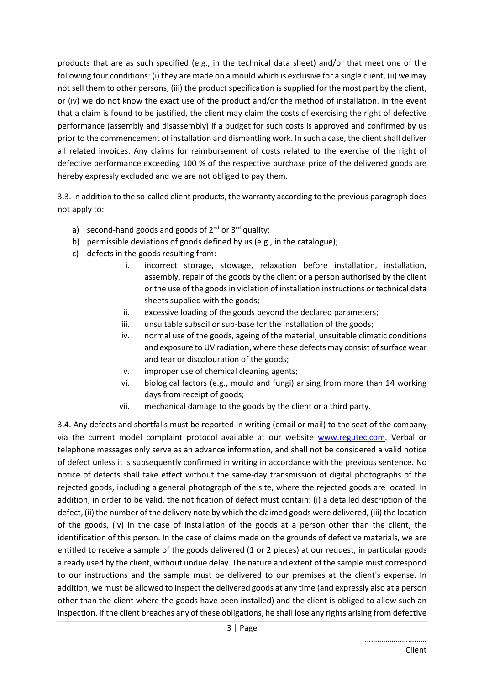products that are as such specified (e.g., in the technical data sheet) and/or that meet one of the following four conditions: (i) they are made on a mould which is exclusive for a single client, (ii) we may not sell them to other persons, (iii) the product specification is supplied for the most part by the client, or (iv) we do not know the exact use of the product and/or the method of installation. In the event that a claim is found to be justified, the client may claim the costs of exercising the right of defective performance (assembly and disassembly) if a budget for such costs is approved and confirmed by us prior to the commencement of installation and dismantling work. In such a case, the client shall deliver all related invoices. Any claims for reimbursement of costs related to the exercise of the right of defective performance exceeding 100 % of the respective purchase price of the delivered goods are hereby expressly excluded and we are not obliged to pay them.

3.3. In addition to the so-called client products, the warranty according to the previous paragraph does not apply to:

- a) second-hand goods and goods of  $2^{nd}$  or  $3^{rd}$  quality;
- b) permissible deviations of goods defined by us (e.g., in the catalogue);
- c) defects in the goods resulting from:
	- i. incorrect storage, stowage, relaxation before installation, installation, assembly, repair of the goods by the client or a person authorised by the client or the use of the goods in violation of installation instructions or technical data sheets supplied with the goods;
	- ii. excessive loading of the goods beyond the declared parameters;
	- iii. unsuitable subsoil or sub-base for the installation of the goods;
	- iv. normal use of the goods, ageing of the material, unsuitable climatic conditions and exposure to UV radiation, where these defects may consist of surface wear and tear or discolouration of the goods;
	- v. improper use of chemical cleaning agents;
	- vi. biological factors (e.g., mould and fungi) arising from more than 14 working days from receipt of goods;
	- vii. mechanical damage to the goods by the client or a third party.

3.4. Any defects and shortfalls must be reported in writing (email or mail) to the seat of the company via the current model complaint protocol available at our website www.regutec.com. Verbal or telephone messages only serve as an advance information, and shall not be considered a valid notice of defect unless it is subsequently confirmed in writing in accordance with the previous sentence. No notice of defects shall take effect without the same-day transmission of digital photographs of the rejected goods, including a general photograph of the site, where the rejected goods are located. In addition, in order to be valid, the notification of defect must contain: (i) a detailed description of the defect, (ii) the number of the delivery note by which the claimed goods were delivered, (iii) the location of the goods, (iv) in the case of installation of the goods at a person other than the client, the identification of this person. In the case of claims made on the grounds of defective materials, we are entitled to receive a sample of the goods delivered (1 or 2 pieces) at our request, in particular goods already used by the client, without undue delay. The nature and extent of the sample must correspond to our instructions and the sample must be delivered to our premises at the client's expense. In addition, we must be allowed to inspect the delivered goods at any time (and expressly also at a person other than the client where the goods have been installed) and the client is obliged to allow such an inspection. If the client breaches any of these obligations, he shall lose any rights arising from defective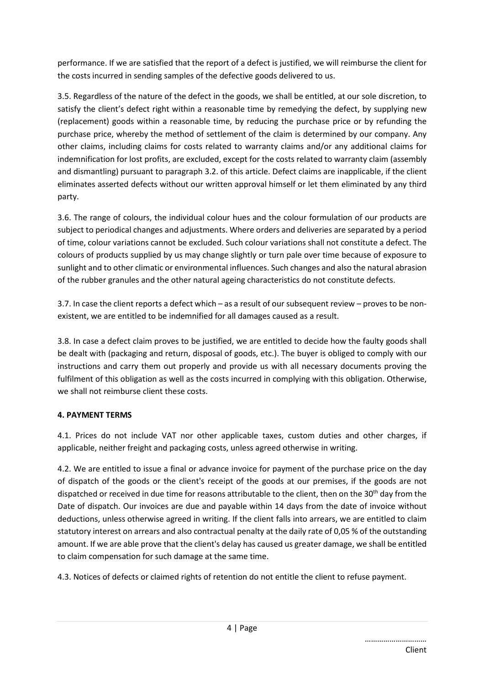performance. If we are satisfied that the report of a defect is justified, we will reimburse the client for the costs incurred in sending samples of the defective goods delivered to us.

3.5. Regardless of the nature of the defect in the goods, we shall be entitled, at our sole discretion, to satisfy the client's defect right within a reasonable time by remedying the defect, by supplying new (replacement) goods within a reasonable time, by reducing the purchase price or by refunding the purchase price, whereby the method of settlement of the claim is determined by our company. Any other claims, including claims for costs related to warranty claims and/or any additional claims for indemnification for lost profits, are excluded, except for the costs related to warranty claim (assembly and dismantling) pursuant to paragraph 3.2. of this article. Defect claims are inapplicable, if the client eliminates asserted defects without our written approval himself or let them eliminated by any third party.

3.6. The range of colours, the individual colour hues and the colour formulation of our products are subject to periodical changes and adjustments. Where orders and deliveries are separated by a period of time, colour variations cannot be excluded. Such colour variations shall not constitute a defect. The colours of products supplied by us may change slightly or turn pale over time because of exposure to sunlight and to other climatic or environmental influences. Such changes and also the natural abrasion of the rubber granules and the other natural ageing characteristics do not constitute defects.

3.7. In case the client reports a defect which – as a result of our subsequent review – proves to be nonexistent, we are entitled to be indemnified for all damages caused as a result.

3.8. In case a defect claim proves to be justified, we are entitled to decide how the faulty goods shall be dealt with (packaging and return, disposal of goods, etc.). The buyer is obliged to comply with our instructions and carry them out properly and provide us with all necessary documents proving the fulfilment of this obligation as well as the costs incurred in complying with this obligation. Otherwise, we shall not reimburse client these costs.

# **4. PAYMENT TERMS**

4.1. Prices do not include VAT nor other applicable taxes, custom duties and other charges, if applicable, neither freight and packaging costs, unless agreed otherwise in writing.

4.2. We are entitled to issue a final or advance invoice for payment of the purchase price on the day of dispatch of the goods or the client's receipt of the goods at our premises, if the goods are not dispatched or received in due time for reasons attributable to the client, then on the 30<sup>th</sup> day from the Date of dispatch. Our invoices are due and payable within 14 days from the date of invoice without deductions, unless otherwise agreed in writing. If the client falls into arrears, we are entitled to claim statutory interest on arrears and also contractual penalty at the daily rate of 0,05 % of the outstanding amount. If we are able prove that the client's delay has caused us greater damage, we shall be entitled to claim compensation for such damage at the same time.

4.3. Notices of defects or claimed rights of retention do not entitle the client to refuse payment.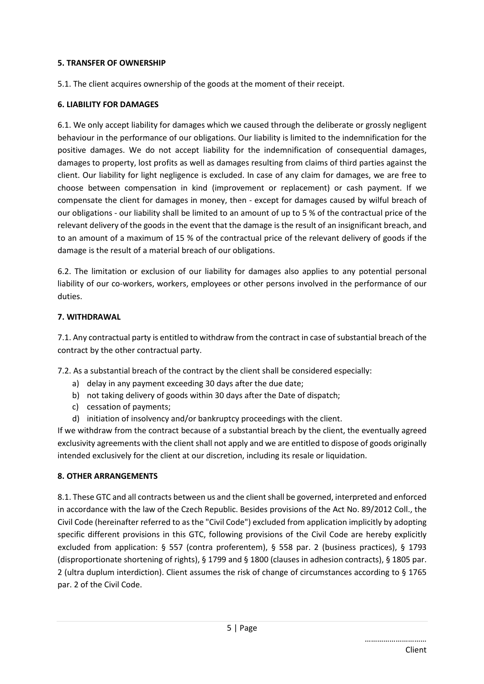### **5. TRANSFER OF OWNERSHIP**

5.1. The client acquires ownership of the goods at the moment of their receipt.

### **6. LIABILITY FOR DAMAGES**

6.1. We only accept liability for damages which we caused through the deliberate or grossly negligent behaviour in the performance of our obligations. Our liability is limited to the indemnification for the positive damages. We do not accept liability for the indemnification of consequential damages, damages to property, lost profits as well as damages resulting from claims of third parties against the client. Our liability for light negligence is excluded. In case of any claim for damages, we are free to choose between compensation in kind (improvement or replacement) or cash payment. If we compensate the client for damages in money, then - except for damages caused by wilful breach of our obligations - our liability shall be limited to an amount of up to 5 % of the contractual price of the relevant delivery of the goods in the event that the damage is the result of an insignificant breach, and to an amount of a maximum of 15 % of the contractual price of the relevant delivery of goods if the damage is the result of a material breach of our obligations.

6.2. The limitation or exclusion of our liability for damages also applies to any potential personal liability of our co-workers, workers, employees or other persons involved in the performance of our duties.

### **7. WITHDRAWAL**

7.1. Any contractual party is entitled to withdraw from the contract in case of substantial breach of the contract by the other contractual party.

7.2. As a substantial breach of the contract by the client shall be considered especially:

- a) delay in any payment exceeding 30 days after the due date;
- b) not taking delivery of goods within 30 days after the Date of dispatch;
- c) cessation of payments;
- d) initiation of insolvency and/or bankruptcy proceedings with the client.

If we withdraw from the contract because of a substantial breach by the client, the eventually agreed exclusivity agreements with the client shall not apply and we are entitled to dispose of goods originally intended exclusively for the client at our discretion, including its resale or liquidation.

### **8. OTHER ARRANGEMENTS**

8.1. These GTC and all contracts between us and the client shall be governed, interpreted and enforced in accordance with the law of the Czech Republic. Besides provisions of the Act No. 89/2012 Coll., the Civil Code (hereinafter referred to as the "Civil Code") excluded from application implicitly by adopting specific different provisions in this GTC, following provisions of the Civil Code are hereby explicitly excluded from application: § 557 (contra proferentem), § 558 par. 2 (business practices), § 1793 (disproportionate shortening of rights), § 1799 and § 1800 (clauses in adhesion contracts), § 1805 par. 2 (ultra duplum interdiction). Client assumes the risk of change of circumstances according to § 1765 par. 2 of the Civil Code.